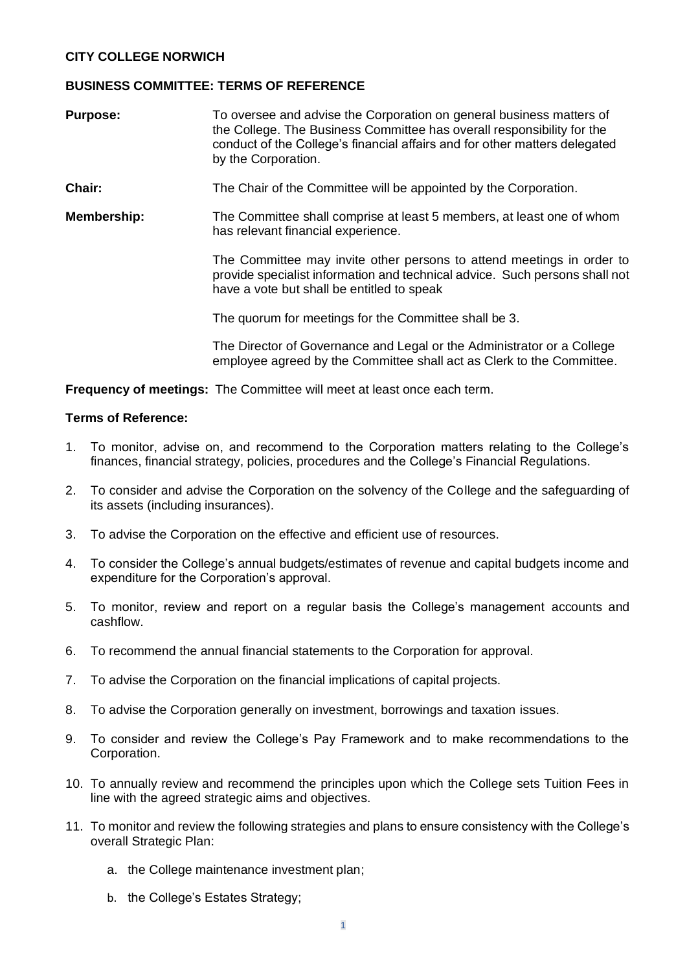## **CITY COLLEGE NORWICH**

## **BUSINESS COMMITTEE: TERMS OF REFERENCE**

| <b>Purpose:</b> | To oversee and advise the Corporation on general business matters of<br>the College. The Business Committee has overall responsibility for the<br>conduct of the College's financial affairs and for other matters delegated<br>by the Corporation. |
|-----------------|-----------------------------------------------------------------------------------------------------------------------------------------------------------------------------------------------------------------------------------------------------|
| Chair:          | The Chair of the Committee will be appointed by the Corporation.                                                                                                                                                                                    |
| Membership:     | The Committee shall comprise at least 5 members, at least one of whom<br>has relevant financial experience.                                                                                                                                         |
|                 | The Committee may invite other persons to attend meetings in order to<br>provide specialist information and technical advice. Such persons shall not<br>have a vote but shall be entitled to speak                                                  |
|                 | The quorum for meetings for the Committee shall be 3.                                                                                                                                                                                               |
|                 | The Director of Governance and Legal or the Administrator or a College<br>employee agreed by the Committee shall act as Clerk to the Committee.                                                                                                     |

**Frequency of meetings:** The Committee will meet at least once each term.

## **Terms of Reference:**

- 1. To monitor, advise on, and recommend to the Corporation matters relating to the College's finances, financial strategy, policies, procedures and the College's Financial Regulations.
- 2. To consider and advise the Corporation on the solvency of the College and the safeguarding of its assets (including insurances).
- 3. To advise the Corporation on the effective and efficient use of resources.
- 4. To consider the College's annual budgets/estimates of revenue and capital budgets income and expenditure for the Corporation's approval.
- 5. To monitor, review and report on a regular basis the College's management accounts and cashflow.
- 6. To recommend the annual financial statements to the Corporation for approval.
- 7. To advise the Corporation on the financial implications of capital projects.
- 8. To advise the Corporation generally on investment, borrowings and taxation issues.
- 9. To consider and review the College's Pay Framework and to make recommendations to the Corporation.
- 10. To annually review and recommend the principles upon which the College sets Tuition Fees in line with the agreed strategic aims and objectives.
- 11. To monitor and review the following strategies and plans to ensure consistency with the College's overall Strategic Plan:
	- a. the College maintenance investment plan;
	- b. the College's Estates Strategy;